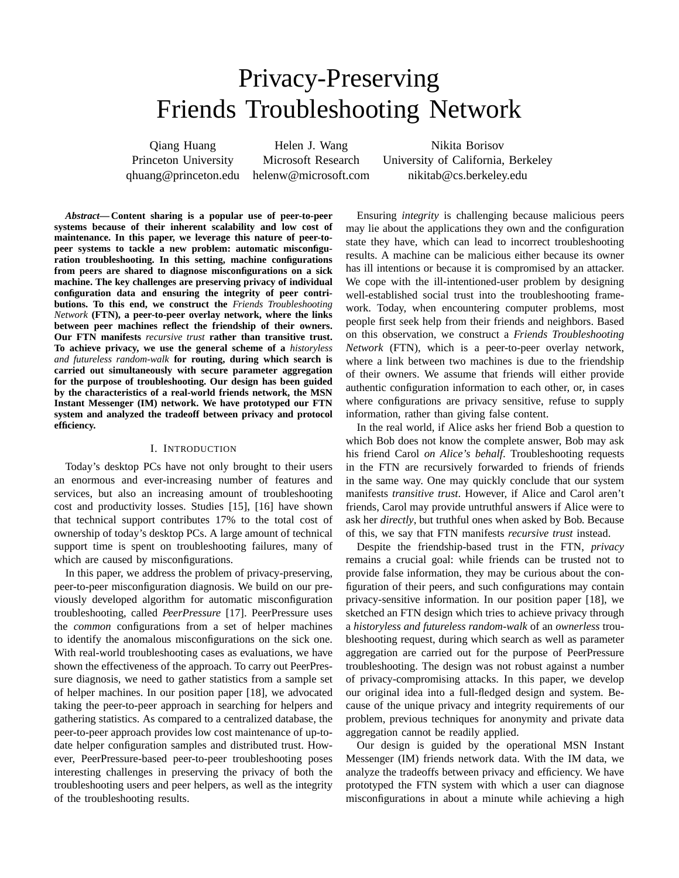# Privacy-Preserving Friends Troubleshooting Network

Qiang Huang **Helen J. Wang The Solution** Nikita Borisov Princeton University Microsoft Research University of California, Berkeley qhuang@princeton.edu helenw@microsoft.com nikitab@cs.berkeley.edu

*Abstract***— Content sharing is a popular use of peer-to-peer systems because of their inherent scalability and low cost of maintenance. In this paper, we leverage this nature of peer-topeer systems to tackle a new problem: automatic misconfiguration troubleshooting. In this setting, machine configurations from peers are shared to diagnose misconfigurations on a sick machine. The key challenges are preserving privacy of individual configuration data and ensuring the integrity of peer contributions. To this end, we construct the** *Friends Troubleshooting Network* **(FTN), a peer-to-peer overlay network, where the links between peer machines reflect the friendship of their owners. Our FTN manifests** *recursive trust* **rather than transitive trust. To achieve privacy, we use the general scheme of a** *historyless and futureless random-walk* **for routing, during which search is carried out simultaneously with secure parameter aggregation for the purpose of troubleshooting. Our design has been guided by the characteristics of a real-world friends network, the MSN Instant Messenger (IM) network. We have prototyped our FTN system and analyzed the tradeoff between privacy and protocol efficiency.**

#### I. INTRODUCTION

Today's desktop PCs have not only brought to their users an enormous and ever-increasing number of features and services, but also an increasing amount of troubleshooting cost and productivity losses. Studies [15], [16] have shown that technical support contributes 17% to the total cost of ownership of today's desktop PCs. A large amount of technical support time is spent on troubleshooting failures, many of which are caused by misconfigurations.

In this paper, we address the problem of privacy-preserving, peer-to-peer misconfiguration diagnosis. We build on our previously developed algorithm for automatic misconfiguration troubleshooting, called *PeerPressure* [17]. PeerPressure uses the *common* configurations from a set of helper machines to identify the anomalous misconfigurations on the sick one. With real-world troubleshooting cases as evaluations, we have shown the effectiveness of the approach. To carry out PeerPressure diagnosis, we need to gather statistics from a sample set of helper machines. In our position paper [18], we advocated taking the peer-to-peer approach in searching for helpers and gathering statistics. As compared to a centralized database, the peer-to-peer approach provides low cost maintenance of up-todate helper configuration samples and distributed trust. However, PeerPressure-based peer-to-peer troubleshooting poses interesting challenges in preserving the privacy of both the troubleshooting users and peer helpers, as well as the integrity of the troubleshooting results.

Ensuring *integrity* is challenging because malicious peers may lie about the applications they own and the configuration state they have, which can lead to incorrect troubleshooting results. A machine can be malicious either because its owner has ill intentions or because it is compromised by an attacker. We cope with the ill-intentioned-user problem by designing well-established social trust into the troubleshooting framework. Today, when encountering computer problems, most people first seek help from their friends and neighbors. Based on this observation, we construct a *Friends Troubleshooting Network* (FTN), which is a peer-to-peer overlay network, where a link between two machines is due to the friendship of their owners. We assume that friends will either provide authentic configuration information to each other, or, in cases where configurations are privacy sensitive, refuse to supply information, rather than giving false content.

In the real world, if Alice asks her friend Bob a question to which Bob does not know the complete answer, Bob may ask his friend Carol *on Alice's behalf*. Troubleshooting requests in the FTN are recursively forwarded to friends of friends in the same way. One may quickly conclude that our system manifests *transitive trust*. However, if Alice and Carol aren't friends, Carol may provide untruthful answers if Alice were to ask her *directly*, but truthful ones when asked by Bob. Because of this, we say that FTN manifests *recursive trust* instead.

Despite the friendship-based trust in the FTN, *privacy* remains a crucial goal: while friends can be trusted not to provide false information, they may be curious about the configuration of their peers, and such configurations may contain privacy-sensitive information. In our position paper [18], we sketched an FTN design which tries to achieve privacy through a *historyless and futureless random-walk* of an *ownerless* troubleshooting request, during which search as well as parameter aggregation are carried out for the purpose of PeerPressure troubleshooting. The design was not robust against a number of privacy-compromising attacks. In this paper, we develop our original idea into a full-fledged design and system. Because of the unique privacy and integrity requirements of our problem, previous techniques for anonymity and private data aggregation cannot be readily applied.

Our design is guided by the operational MSN Instant Messenger (IM) friends network data. With the IM data, we analyze the tradeoffs between privacy and efficiency. We have prototyped the FTN system with which a user can diagnose misconfigurations in about a minute while achieving a high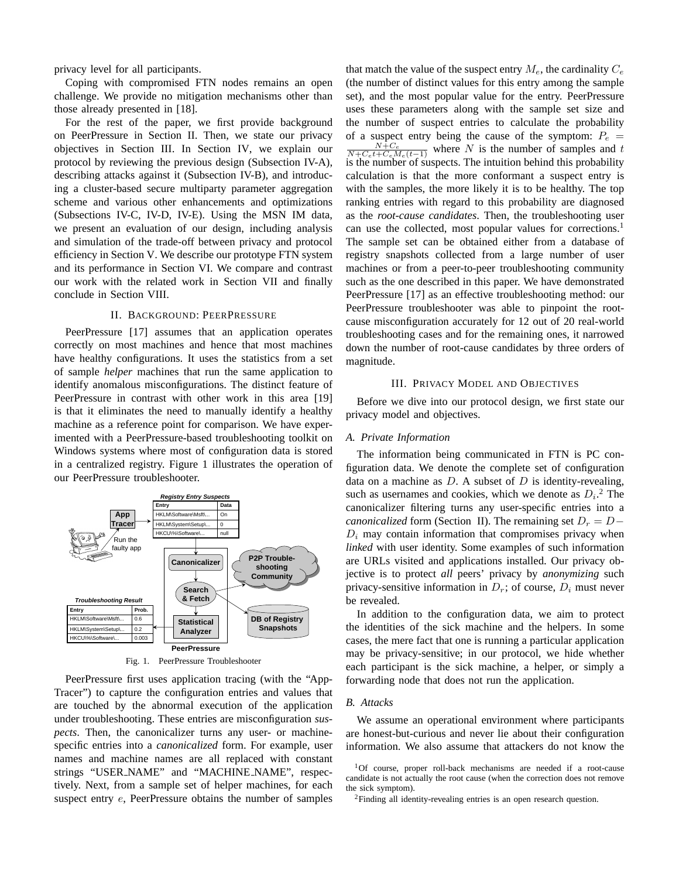privacy level for all participants.

Coping with compromised FTN nodes remains an open challenge. We provide no mitigation mechanisms other than those already presented in [18].

For the rest of the paper, we first provide background on PeerPressure in Section II. Then, we state our privacy objectives in Section III. In Section IV, we explain our protocol by reviewing the previous design (Subsection IV-A), describing attacks against it (Subsection IV-B), and introducing a cluster-based secure multiparty parameter aggregation scheme and various other enhancements and optimizations (Subsections IV-C, IV-D, IV-E). Using the MSN IM data, we present an evaluation of our design, including analysis and simulation of the trade-off between privacy and protocol efficiency in Section V. We describe our prototype FTN system and its performance in Section VI. We compare and contrast our work with the related work in Section VII and finally conclude in Section VIII.

#### II. BACKGROUND: PEERPRESSURE

PeerPressure [17] assumes that an application operates correctly on most machines and hence that most machines have healthy configurations. It uses the statistics from a set of sample *helper* machines that run the same application to identify anomalous misconfigurations. The distinct feature of PeerPressure in contrast with other work in this area [19] is that it eliminates the need to manually identify a healthy machine as a reference point for comparison. We have experimented with a PeerPressure-based troubleshooting toolkit on Windows systems where most of configuration data is stored in a centralized registry. Figure 1 illustrates the operation of our PeerPressure troubleshooter.



Fig. 1. PeerPressure Troubleshooter

PeerPressure first uses application tracing (with the "App-Tracer") to capture the configuration entries and values that are touched by the abnormal execution of the application under troubleshooting. These entries are misconfiguration *suspects*. Then, the canonicalizer turns any user- or machinespecific entries into a *canonicalized* form. For example, user names and machine names are all replaced with constant strings "USER NAME" and "MACHINE NAME", respectively. Next, from a sample set of helper machines, for each suspect entry  $e$ , PeerPressure obtains the number of samples

that match the value of the suspect entry  $M_e$ , the cardinality  $C_e$ (the number of distinct values for this entry among the sample set), and the most popular value for the entry. PeerPressure uses these parameters along with the sample set size and the number of suspect entries to calculate the probability of a suspect entry being the cause of the symptom:  $P_e$  =  $\frac{N+C_e}{N+C_e t+C_e M_e(t-1)}$  where N is the number of samples and t is the number of suspects. The intuition behind this probability calculation is that the more conformant a suspect entry is with the samples, the more likely it is to be healthy. The top ranking entries with regard to this probability are diagnosed as the *root-cause candidates*. Then, the troubleshooting user can use the collected, most popular values for corrections.<sup>1</sup> The sample set can be obtained either from a database of registry snapshots collected from a large number of user machines or from a peer-to-peer troubleshooting community such as the one described in this paper. We have demonstrated PeerPressure [17] as an effective troubleshooting method: our PeerPressure troubleshooter was able to pinpoint the rootcause misconfiguration accurately for 12 out of 20 real-world troubleshooting cases and for the remaining ones, it narrowed down the number of root-cause candidates by three orders of magnitude.

#### III. PRIVACY MODEL AND OBJECTIVES

Before we dive into our protocol design, we first state our privacy model and objectives.

## *A. Private Information*

The information being communicated in FTN is PC configuration data. We denote the complete set of configuration data on a machine as  $D$ . A subset of  $D$  is identity-revealing, such as usernames and cookies, which we denote as  $D_i$ <sup>2</sup>. The canonicalizer filtering turns any user-specific entries into a *canonicalized* form (Section II). The remaining set  $D<sub>r</sub> = D D_i$  may contain information that compromises privacy when *linked* with user identity. Some examples of such information are URLs visited and applications installed. Our privacy objective is to protect *all* peers' privacy by *anonymizing* such privacy-sensitive information in  $D_r$ ; of course,  $D_i$  must never be revealed.

In addition to the configuration data, we aim to protect the identities of the sick machine and the helpers. In some cases, the mere fact that one is running a particular application may be privacy-sensitive; in our protocol, we hide whether each participant is the sick machine, a helper, or simply a forwarding node that does not run the application.

#### *B. Attacks*

We assume an operational environment where participants are honest-but-curious and never lie about their configuration information. We also assume that attackers do not know the

<sup>1</sup>Of course, proper roll-back mechanisms are needed if a root-cause candidate is not actually the root cause (when the correction does not remove the sick symptom).

<sup>&</sup>lt;sup>2</sup>Finding all identity-revealing entries is an open research question.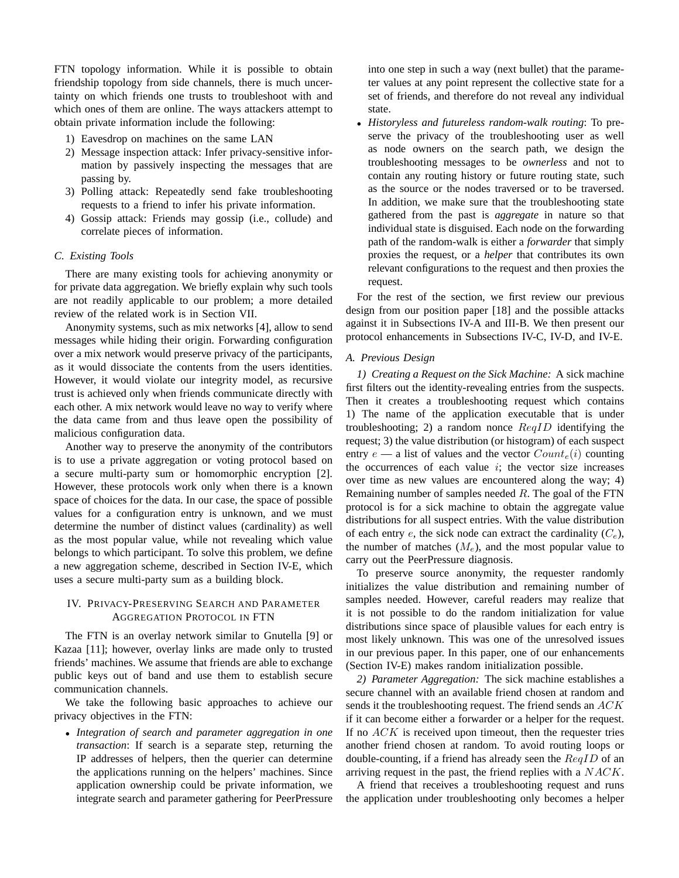FTN topology information. While it is possible to obtain friendship topology from side channels, there is much uncertainty on which friends one trusts to troubleshoot with and which ones of them are online. The ways attackers attempt to obtain private information include the following:

- 1) Eavesdrop on machines on the same LAN
- 2) Message inspection attack: Infer privacy-sensitive information by passively inspecting the messages that are passing by.
- 3) Polling attack: Repeatedly send fake troubleshooting requests to a friend to infer his private information.
- 4) Gossip attack: Friends may gossip (i.e., collude) and correlate pieces of information.

## *C. Existing Tools*

There are many existing tools for achieving anonymity or for private data aggregation. We briefly explain why such tools are not readily applicable to our problem; a more detailed review of the related work is in Section VII.

Anonymity systems, such as mix networks [4], allow to send messages while hiding their origin. Forwarding configuration over a mix network would preserve privacy of the participants, as it would dissociate the contents from the users identities. However, it would violate our integrity model, as recursive trust is achieved only when friends communicate directly with each other. A mix network would leave no way to verify where the data came from and thus leave open the possibility of malicious configuration data.

Another way to preserve the anonymity of the contributors is to use a private aggregation or voting protocol based on a secure multi-party sum or homomorphic encryption [2]. However, these protocols work only when there is a known space of choices for the data. In our case, the space of possible values for a configuration entry is unknown, and we must determine the number of distinct values (cardinality) as well as the most popular value, while not revealing which value belongs to which participant. To solve this problem, we define a new aggregation scheme, described in Section IV-E, which uses a secure multi-party sum as a building block.

## IV. PRIVACY-PRESERVING SEARCH AND PARAMETER AGGREGATION PROTOCOL IN FTN

The FTN is an overlay network similar to Gnutella [9] or Kazaa [11]; however, overlay links are made only to trusted friends' machines. We assume that friends are able to exchange public keys out of band and use them to establish secure communication channels.

We take the following basic approaches to achieve our privacy objectives in the FTN:

• *Integration of search and parameter aggregation in one transaction*: If search is a separate step, returning the IP addresses of helpers, then the querier can determine the applications running on the helpers' machines. Since application ownership could be private information, we integrate search and parameter gathering for PeerPressure into one step in such a way (next bullet) that the parameter values at any point represent the collective state for a set of friends, and therefore do not reveal any individual state.

• *Historyless and futureless random-walk routing*: To preserve the privacy of the troubleshooting user as well as node owners on the search path, we design the troubleshooting messages to be *ownerless* and not to contain any routing history or future routing state, such as the source or the nodes traversed or to be traversed. In addition, we make sure that the troubleshooting state gathered from the past is *aggregate* in nature so that individual state is disguised. Each node on the forwarding path of the random-walk is either a *forwarder* that simply proxies the request, or a *helper* that contributes its own relevant configurations to the request and then proxies the request.

For the rest of the section, we first review our previous design from our position paper [18] and the possible attacks against it in Subsections IV-A and III-B. We then present our protocol enhancements in Subsections IV-C, IV-D, and IV-E.

#### *A. Previous Design*

*1) Creating a Request on the Sick Machine:* A sick machine first filters out the identity-revealing entries from the suspects. Then it creates a troubleshooting request which contains 1) The name of the application executable that is under troubleshooting; 2) a random nonce  $\text{Re}qID$  identifying the request; 3) the value distribution (or histogram) of each suspect entry  $e$  — a list of values and the vector  $Count_e(i)$  counting the occurrences of each value  $i$ ; the vector size increases over time as new values are encountered along the way; 4) Remaining number of samples needed  $R$ . The goal of the FTN protocol is for a sick machine to obtain the aggregate value distributions for all suspect entries. With the value distribution of each entry  $e$ , the sick node can extract the cardinality  $(C_e)$ , the number of matches  $(M_e)$ , and the most popular value to carry out the PeerPressure diagnosis.

To preserve source anonymity, the requester randomly initializes the value distribution and remaining number of samples needed. However, careful readers may realize that it is not possible to do the random initialization for value distributions since space of plausible values for each entry is most likely unknown. This was one of the unresolved issues in our previous paper. In this paper, one of our enhancements (Section IV-E) makes random initialization possible.

*2) Parameter Aggregation:* The sick machine establishes a secure channel with an available friend chosen at random and sends it the troubleshooting request. The friend sends an ACK if it can become either a forwarder or a helper for the request. If no  $ACK$  is received upon timeout, then the requester tries another friend chosen at random. To avoid routing loops or double-counting, if a friend has already seen the  $\text{Re}qID$  of an arriving request in the past, the friend replies with a NACK.

A friend that receives a troubleshooting request and runs the application under troubleshooting only becomes a helper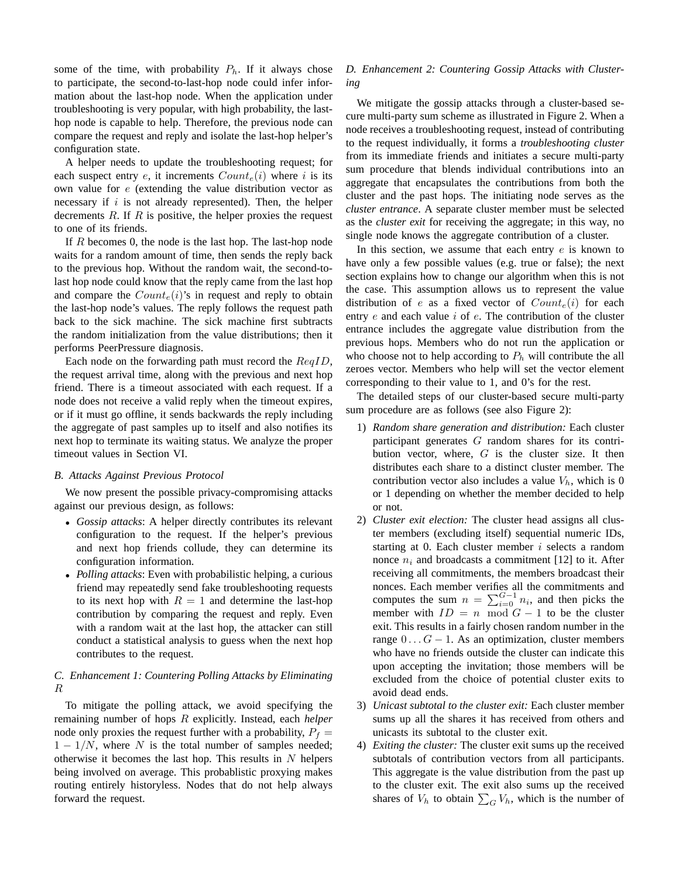some of the time, with probability  $P_h$ . If it always chose to participate, the second-to-last-hop node could infer information about the last-hop node. When the application under troubleshooting is very popular, with high probability, the lasthop node is capable to help. Therefore, the previous node can compare the request and reply and isolate the last-hop helper's configuration state.

A helper needs to update the troubleshooting request; for each suspect entry  $e$ , it increments  $Count_e(i)$  where i is its own value for e (extending the value distribution vector as necessary if  $i$  is not already represented). Then, the helper decrements  $R$ . If  $R$  is positive, the helper proxies the request to one of its friends.

If R becomes 0, the node is the last hop. The last-hop node waits for a random amount of time, then sends the reply back to the previous hop. Without the random wait, the second-tolast hop node could know that the reply came from the last hop and compare the  $Count_e(i)$ 's in request and reply to obtain the last-hop node's values. The reply follows the request path back to the sick machine. The sick machine first subtracts the random initialization from the value distributions; then it performs PeerPressure diagnosis.

Each node on the forwarding path must record the  $ReqID$ , the request arrival time, along with the previous and next hop friend. There is a timeout associated with each request. If a node does not receive a valid reply when the timeout expires, or if it must go offline, it sends backwards the reply including the aggregate of past samples up to itself and also notifies its next hop to terminate its waiting status. We analyze the proper timeout values in Section VI.

## *B. Attacks Against Previous Protocol*

We now present the possible privacy-compromising attacks against our previous design, as follows:

- *Gossip attacks*: A helper directly contributes its relevant configuration to the request. If the helper's previous and next hop friends collude, they can determine its configuration information.
- *Polling attacks*: Even with probabilistic helping, a curious friend may repeatedly send fake troubleshooting requests to its next hop with  $R = 1$  and determine the last-hop contribution by comparing the request and reply. Even with a random wait at the last hop, the attacker can still conduct a statistical analysis to guess when the next hop contributes to the request.

## *C. Enhancement 1: Countering Polling Attacks by Eliminating* R

To mitigate the polling attack, we avoid specifying the remaining number of hops R explicitly. Instead, each *helper* node only proxies the request further with a probability,  $P_f$  =  $1 - 1/N$ , where N is the total number of samples needed; otherwise it becomes the last hop. This results in  $N$  helpers being involved on average. This probablistic proxying makes routing entirely historyless. Nodes that do not help always forward the request.

## *D. Enhancement 2: Countering Gossip Attacks with Clustering*

We mitigate the gossip attacks through a cluster-based secure multi-party sum scheme as illustrated in Figure 2. When a node receives a troubleshooting request, instead of contributing to the request individually, it forms a *troubleshooting cluster* from its immediate friends and initiates a secure multi-party sum procedure that blends individual contributions into an aggregate that encapsulates the contributions from both the cluster and the past hops. The initiating node serves as the *cluster entrance*. A separate cluster member must be selected as the *cluster exit* for receiving the aggregate; in this way, no single node knows the aggregate contribution of a cluster.

In this section, we assume that each entry  $e$  is known to have only a few possible values (e.g. true or false); the next section explains how to change our algorithm when this is not the case. This assumption allows us to represent the value distribution of e as a fixed vector of  $Count_e(i)$  for each entry  $e$  and each value  $i$  of  $e$ . The contribution of the cluster entrance includes the aggregate value distribution from the previous hops. Members who do not run the application or who choose not to help according to  $P<sub>h</sub>$  will contribute the all zeroes vector. Members who help will set the vector element corresponding to their value to 1, and 0's for the rest.

The detailed steps of our cluster-based secure multi-party sum procedure are as follows (see also Figure 2):

- 1) *Random share generation and distribution:* Each cluster participant generates G random shares for its contribution vector, where,  $G$  is the cluster size. It then distributes each share to a distinct cluster member. The contribution vector also includes a value  $V<sub>h</sub>$ , which is 0 or 1 depending on whether the member decided to help or not.
- 2) *Cluster exit election:* The cluster head assigns all cluster members (excluding itself) sequential numeric IDs, starting at 0. Each cluster member  $i$  selects a random nonce  $n_i$  and broadcasts a commitment [12] to it. After receiving all commitments, the members broadcast their nonces. Each member verifies all the commitments and honces. Each member verthes an the communicity and<br>computes the sum  $n = \sum_{i=0}^{C-1} n_i$ , and then picks the member with  $ID = n \mod G - 1$  to be the cluster exit. This results in a fairly chosen random number in the range  $0 \dots G - 1$ . As an optimization, cluster members who have no friends outside the cluster can indicate this upon accepting the invitation; those members will be excluded from the choice of potential cluster exits to avoid dead ends.
- 3) *Unicast subtotal to the cluster exit:* Each cluster member sums up all the shares it has received from others and unicasts its subtotal to the cluster exit.
- 4) *Exiting the cluster:* The cluster exit sums up the received subtotals of contribution vectors from all participants. This aggregate is the value distribution from the past up to the cluster exit. The exit also sums up the received to the cluster exit. The exit also sums up the received<br>shares of  $V_h$  to obtain  $\sum_G V_h$ , which is the number of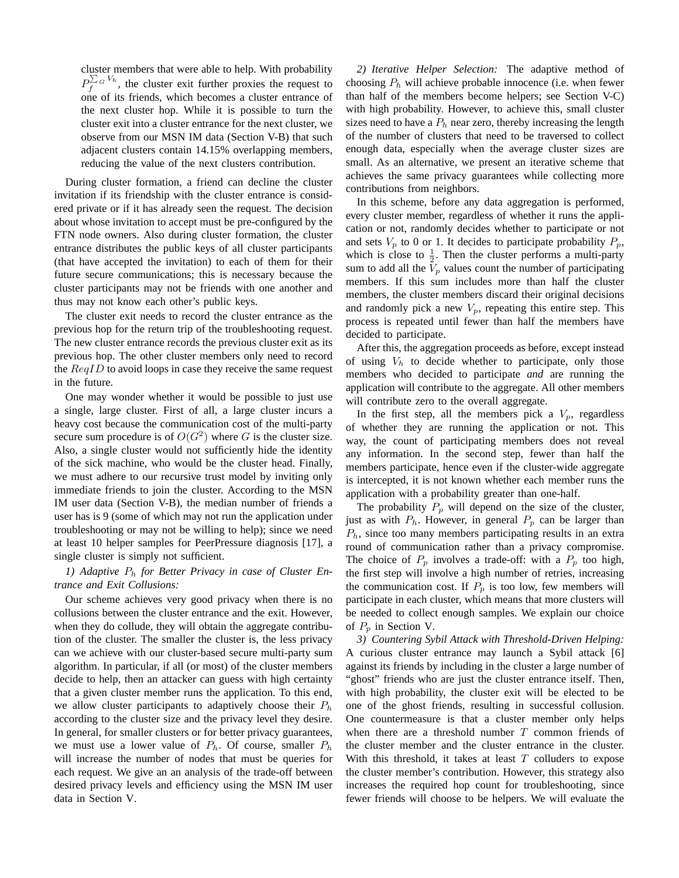cluster members that were able to help. With probability  $P_f^{\sum_{G}V_h}$ , the cluster exit further proxies the request to one of its friends, which becomes a cluster entrance of the next cluster hop. While it is possible to turn the cluster exit into a cluster entrance for the next cluster, we observe from our MSN IM data (Section V-B) that such adjacent clusters contain 14.15% overlapping members, reducing the value of the next clusters contribution.

During cluster formation, a friend can decline the cluster invitation if its friendship with the cluster entrance is considered private or if it has already seen the request. The decision about whose invitation to accept must be pre-configured by the FTN node owners. Also during cluster formation, the cluster entrance distributes the public keys of all cluster participants (that have accepted the invitation) to each of them for their future secure communications; this is necessary because the cluster participants may not be friends with one another and thus may not know each other's public keys.

The cluster exit needs to record the cluster entrance as the previous hop for the return trip of the troubleshooting request. The new cluster entrance records the previous cluster exit as its previous hop. The other cluster members only need to record the  $\text{Re}qID$  to avoid loops in case they receive the same request in the future.

One may wonder whether it would be possible to just use a single, large cluster. First of all, a large cluster incurs a heavy cost because the communication cost of the multi-party secure sum procedure is of  $O(G^2)$  where G is the cluster size. Also, a single cluster would not sufficiently hide the identity of the sick machine, who would be the cluster head. Finally, we must adhere to our recursive trust model by inviting only immediate friends to join the cluster. According to the MSN IM user data (Section V-B), the median number of friends a user has is 9 (some of which may not run the application under troubleshooting or may not be willing to help); since we need at least 10 helper samples for PeerPressure diagnosis [17], a single cluster is simply not sufficient.

## *1) Adaptive* P<sup>h</sup> *for Better Privacy in case of Cluster Entrance and Exit Collusions:*

Our scheme achieves very good privacy when there is no collusions between the cluster entrance and the exit. However, when they do collude, they will obtain the aggregate contribution of the cluster. The smaller the cluster is, the less privacy can we achieve with our cluster-based secure multi-party sum algorithm. In particular, if all (or most) of the cluster members decide to help, then an attacker can guess with high certainty that a given cluster member runs the application. To this end, we allow cluster participants to adaptively choose their  $P_h$ according to the cluster size and the privacy level they desire. In general, for smaller clusters or for better privacy guarantees, we must use a lower value of  $P_h$ . Of course, smaller  $P_h$ will increase the number of nodes that must be queries for each request. We give an an analysis of the trade-off between desired privacy levels and efficiency using the MSN IM user data in Section V.

*2) Iterative Helper Selection:* The adaptive method of choosing  $P_h$  will achieve probable innocence (i.e. when fewer than half of the members become helpers; see Section V-C) with high probability. However, to achieve this, small cluster sizes need to have a  $P_h$  near zero, thereby increasing the length of the number of clusters that need to be traversed to collect enough data, especially when the average cluster sizes are small. As an alternative, we present an iterative scheme that achieves the same privacy guarantees while collecting more contributions from neighbors.

In this scheme, before any data aggregation is performed, every cluster member, regardless of whether it runs the application or not, randomly decides whether to participate or not and sets  $V_p$  to 0 or 1. It decides to participate probability  $P_p$ , which is close to  $\frac{1}{2}$ . Then the cluster performs a multi-party sum to add all the  $V_p$  values count the number of participating members. If this sum includes more than half the cluster members, the cluster members discard their original decisions and randomly pick a new  $V_p$ , repeating this entire step. This process is repeated until fewer than half the members have decided to participate.

After this, the aggregation proceeds as before, except instead of using  $V<sub>h</sub>$  to decide whether to participate, only those members who decided to participate *and* are running the application will contribute to the aggregate. All other members will contribute zero to the overall aggregate.

In the first step, all the members pick a  $V_p$ , regardless of whether they are running the application or not. This way, the count of participating members does not reveal any information. In the second step, fewer than half the members participate, hence even if the cluster-wide aggregate is intercepted, it is not known whether each member runs the application with a probability greater than one-half.

The probability  $P_p$  will depend on the size of the cluster, just as with  $P_h$ . However, in general  $P_p$  can be larger than  $P_h$ , since too many members participating results in an extra round of communication rather than a privacy compromise. The choice of  $P_p$  involves a trade-off: with a  $P_p$  too high, the first step will involve a high number of retries, increasing the communication cost. If  $P_p$  is too low, few members will participate in each cluster, which means that more clusters will be needed to collect enough samples. We explain our choice of  $P_p$  in Section V.

*3) Countering Sybil Attack with Threshold-Driven Helping:* A curious cluster entrance may launch a Sybil attack [6] against its friends by including in the cluster a large number of "ghost" friends who are just the cluster entrance itself. Then, with high probability, the cluster exit will be elected to be one of the ghost friends, resulting in successful collusion. One countermeasure is that a cluster member only helps when there are a threshold number  $T$  common friends of the cluster member and the cluster entrance in the cluster. With this threshold, it takes at least  $T$  colluders to expose the cluster member's contribution. However, this strategy also increases the required hop count for troubleshooting, since fewer friends will choose to be helpers. We will evaluate the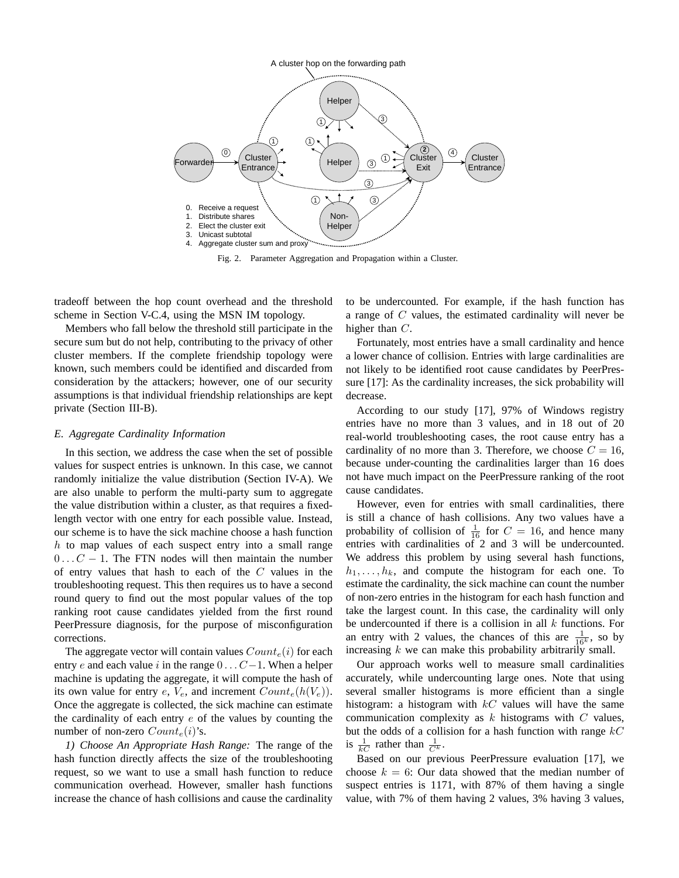

Fig. 2. Parameter Aggregation and Propagation within a Cluster.

tradeoff between the hop count overhead and the threshold scheme in Section V-C.4, using the MSN IM topology.

Members who fall below the threshold still participate in the secure sum but do not help, contributing to the privacy of other cluster members. If the complete friendship topology were known, such members could be identified and discarded from consideration by the attackers; however, one of our security assumptions is that individual friendship relationships are kept private (Section III-B).

## *E. Aggregate Cardinality Information*

In this section, we address the case when the set of possible values for suspect entries is unknown. In this case, we cannot randomly initialize the value distribution (Section IV-A). We are also unable to perform the multi-party sum to aggregate the value distribution within a cluster, as that requires a fixedlength vector with one entry for each possible value. Instead, our scheme is to have the sick machine choose a hash function h to map values of each suspect entry into a small range  $0 \ldots C - 1$ . The FTN nodes will then maintain the number of entry values that hash to each of the  $C$  values in the troubleshooting request. This then requires us to have a second round query to find out the most popular values of the top ranking root cause candidates yielded from the first round PeerPressure diagnosis, for the purpose of misconfiguration corrections.

The aggregate vector will contain values  $Count_e(i)$  for each entry e and each value i in the range  $0 \dots C-1$ . When a helper machine is updating the aggregate, it will compute the hash of its own value for entry e,  $V_e$ , and increment  $Count_e(h(V_e))$ . Once the aggregate is collected, the sick machine can estimate the cardinality of each entry  $e$  of the values by counting the number of non-zero  $Count_e(i)$ 's.

*1) Choose An Appropriate Hash Range:* The range of the hash function directly affects the size of the troubleshooting request, so we want to use a small hash function to reduce communication overhead. However, smaller hash functions increase the chance of hash collisions and cause the cardinality

to be undercounted. For example, if the hash function has a range of C values, the estimated cardinality will never be higher than C.

Fortunately, most entries have a small cardinality and hence a lower chance of collision. Entries with large cardinalities are not likely to be identified root cause candidates by PeerPressure [17]: As the cardinality increases, the sick probability will decrease.

According to our study [17], 97% of Windows registry entries have no more than 3 values, and in 18 out of 20 real-world troubleshooting cases, the root cause entry has a cardinality of no more than 3. Therefore, we choose  $C = 16$ , because under-counting the cardinalities larger than 16 does not have much impact on the PeerPressure ranking of the root cause candidates.

However, even for entries with small cardinalities, there is still a chance of hash collisions. Any two values have a probability of collision of  $\frac{1}{16}$  for  $C = 16$ , and hence many entries with cardinalities of 2 and 3 will be undercounted. We address this problem by using several hash functions,  $h_1, \ldots, h_k$ , and compute the histogram for each one. To estimate the cardinality, the sick machine can count the number of non-zero entries in the histogram for each hash function and take the largest count. In this case, the cardinality will only be undercounted if there is a collision in all  $k$  functions. For an entry with 2 values, the chances of this are  $\frac{1}{16^k}$ , so by increasing  $k$  we can make this probability arbitrarily small.

Our approach works well to measure small cardinalities accurately, while undercounting large ones. Note that using several smaller histograms is more efficient than a single histogram: a histogram with  $kC$  values will have the same communication complexity as  $k$  histograms with  $C$  values, but the odds of a collision for a hash function with range  $kC$ is  $\frac{1}{kC}$  rather than  $\frac{1}{C^k}$ .

Based on our previous PeerPressure evaluation [17], we choose  $k = 6$ : Our data showed that the median number of suspect entries is 1171, with 87% of them having a single value, with 7% of them having 2 values, 3% having 3 values,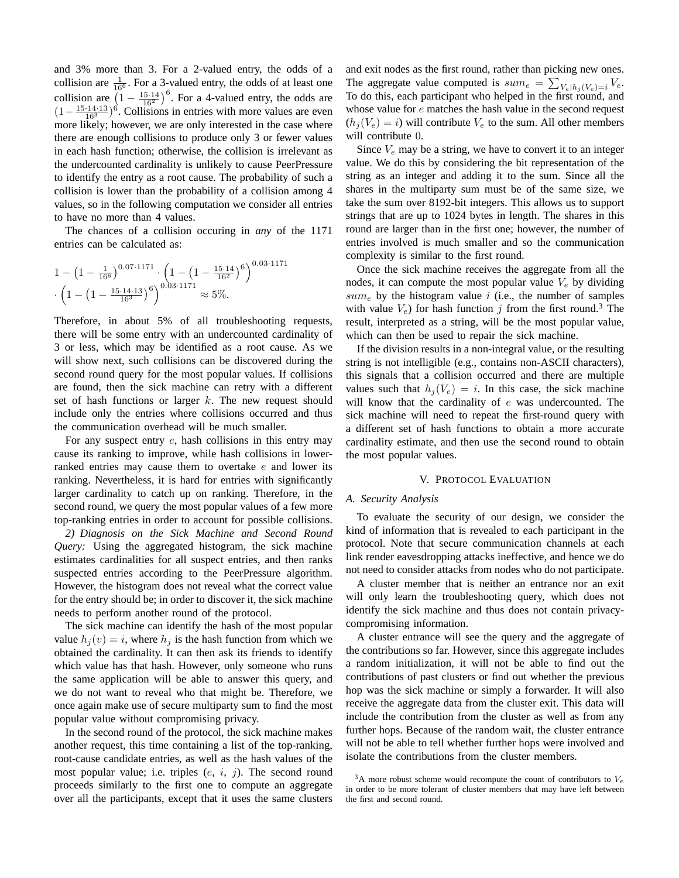and 3% more than 3. For a 2-valued entry, the odds of a collision are  $\frac{1}{16^6}$ . For a 3-valued entry, the odds of at least one collision are  $(1 - \frac{15.14}{16^2})$  $\int_0^6$ . For a 4-valued entry, the odds are  $(1 - \frac{15 \cdot 14 \cdot 13}{16^3})^6$ . Collisions in entries with more values are even more likely; however, we are only interested in the case where there are enough collisions to produce only 3 or fewer values in each hash function; otherwise, the collision is irrelevant as the undercounted cardinality is unlikely to cause PeerPressure to identify the entry as a root cause. The probability of such a collision is lower than the probability of a collision among 4 values, so in the following computation we consider all entries to have no more than 4 values.

The chances of a collision occuring in *any* of the 1171 entries can be calculated as:

$$
1 - \left(1 - \frac{1}{16^6}\right)^{0.07 \cdot 1171} \cdot \left(1 - \left(1 - \frac{15 \cdot 14}{16^2}\right)^6\right)^{0.03 \cdot 1171} \cdot \left(1 - \left(1 - \frac{15 \cdot 14 \cdot 13}{16^3}\right)^6\right)^{0.03 \cdot 1171} \approx 5\%.
$$

Therefore, in about 5% of all troubleshooting requests, there will be some entry with an undercounted cardinality of 3 or less, which may be identified as a root cause. As we will show next, such collisions can be discovered during the second round query for the most popular values. If collisions are found, then the sick machine can retry with a different set of hash functions or larger  $k$ . The new request should include only the entries where collisions occurred and thus the communication overhead will be much smaller.

For any suspect entry e, hash collisions in this entry may cause its ranking to improve, while hash collisions in lowerranked entries may cause them to overtake e and lower its ranking. Nevertheless, it is hard for entries with significantly larger cardinality to catch up on ranking. Therefore, in the second round, we query the most popular values of a few more top-ranking entries in order to account for possible collisions.

*2) Diagnosis on the Sick Machine and Second Round Query:* Using the aggregated histogram, the sick machine estimates cardinalities for all suspect entries, and then ranks suspected entries according to the PeerPressure algorithm. However, the histogram does not reveal what the correct value for the entry should be; in order to discover it, the sick machine needs to perform another round of the protocol.

The sick machine can identify the hash of the most popular value  $h_i (v) = i$ , where  $h_i$  is the hash function from which we obtained the cardinality. It can then ask its friends to identify which value has that hash. However, only someone who runs the same application will be able to answer this query, and we do not want to reveal who that might be. Therefore, we once again make use of secure multiparty sum to find the most popular value without compromising privacy.

In the second round of the protocol, the sick machine makes another request, this time containing a list of the top-ranking, root-cause candidate entries, as well as the hash values of the most popular value; i.e. triples  $(e, i, j)$ . The second round proceeds similarly to the first one to compute an aggregate over all the participants, except that it uses the same clusters and exit nodes as the first round, rather than picking new ones. P The aggregate value computed is  $sum_e = \sum_{V_e} |h_i(V_e)_{=i} V_e$ . To do this, each participant who helped in the first round, and whose value for  $e$  matches the hash value in the second request  $(h_i(V_e) = i)$  will contribute  $V_e$  to the sum. All other members will contribute 0.

Since  $V_e$  may be a string, we have to convert it to an integer value. We do this by considering the bit representation of the string as an integer and adding it to the sum. Since all the shares in the multiparty sum must be of the same size, we take the sum over 8192-bit integers. This allows us to support strings that are up to 1024 bytes in length. The shares in this round are larger than in the first one; however, the number of entries involved is much smaller and so the communication complexity is similar to the first round.

Once the sick machine receives the aggregate from all the nodes, it can compute the most popular value  $V_e$  by dividing  $sum_e$  by the histogram value i (i.e., the number of samples with value  $V_e$ ) for hash function j from the first round.<sup>3</sup> The result, interpreted as a string, will be the most popular value, which can then be used to repair the sick machine.

If the division results in a non-integral value, or the resulting string is not intelligible (e.g., contains non-ASCII characters), this signals that a collision occurred and there are multiple values such that  $h_i(V_e) = i$ . In this case, the sick machine will know that the cardinality of  $e$  was undercounted. The sick machine will need to repeat the first-round query with a different set of hash functions to obtain a more accurate cardinality estimate, and then use the second round to obtain the most popular values.

#### V. PROTOCOL EVALUATION

#### *A. Security Analysis*

To evaluate the security of our design, we consider the kind of information that is revealed to each participant in the protocol. Note that secure communication channels at each link render eavesdropping attacks ineffective, and hence we do not need to consider attacks from nodes who do not participate.

A cluster member that is neither an entrance nor an exit will only learn the troubleshooting query, which does not identify the sick machine and thus does not contain privacycompromising information.

A cluster entrance will see the query and the aggregate of the contributions so far. However, since this aggregate includes a random initialization, it will not be able to find out the contributions of past clusters or find out whether the previous hop was the sick machine or simply a forwarder. It will also receive the aggregate data from the cluster exit. This data will include the contribution from the cluster as well as from any further hops. Because of the random wait, the cluster entrance will not be able to tell whether further hops were involved and isolate the contributions from the cluster members.

 $3A$  more robust scheme would recompute the count of contributors to  $V_e$ in order to be more tolerant of cluster members that may have left between the first and second round.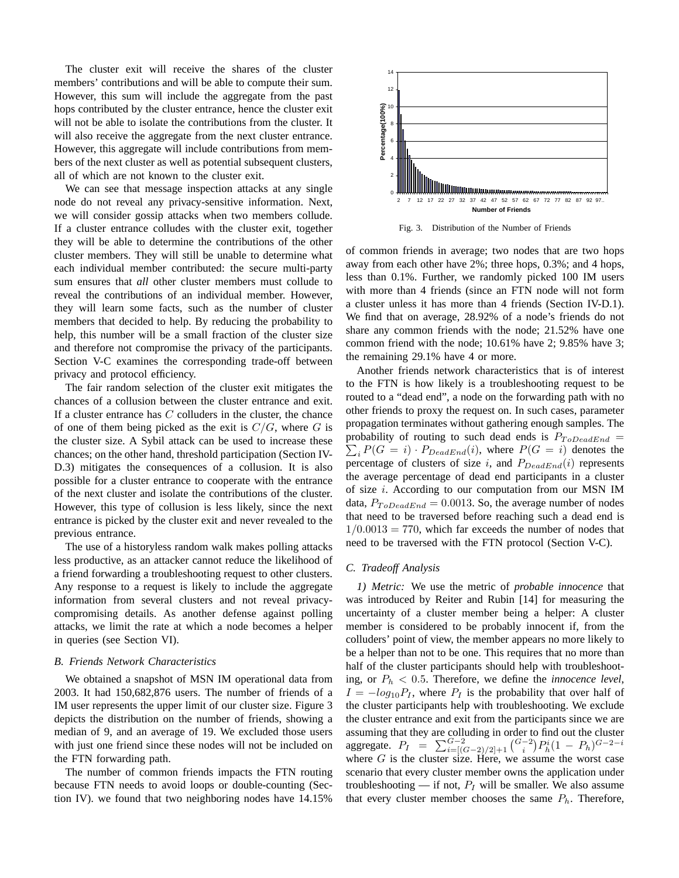The cluster exit will receive the shares of the cluster members' contributions and will be able to compute their sum. However, this sum will include the aggregate from the past hops contributed by the cluster entrance, hence the cluster exit will not be able to isolate the contributions from the cluster. It will also receive the aggregate from the next cluster entrance. However, this aggregate will include contributions from members of the next cluster as well as potential subsequent clusters, all of which are not known to the cluster exit.

We can see that message inspection attacks at any single node do not reveal any privacy-sensitive information. Next, we will consider gossip attacks when two members collude. If a cluster entrance colludes with the cluster exit, together they will be able to determine the contributions of the other cluster members. They will still be unable to determine what each individual member contributed: the secure multi-party sum ensures that *all* other cluster members must collude to reveal the contributions of an individual member. However, they will learn some facts, such as the number of cluster members that decided to help. By reducing the probability to help, this number will be a small fraction of the cluster size and therefore not compromise the privacy of the participants. Section V-C examines the corresponding trade-off between privacy and protocol efficiency.

The fair random selection of the cluster exit mitigates the chances of a collusion between the cluster entrance and exit. If a cluster entrance has  $C$  colluders in the cluster, the chance of one of them being picked as the exit is  $C/G$ , where G is the cluster size. A Sybil attack can be used to increase these chances; on the other hand, threshold participation (Section IV-D.3) mitigates the consequences of a collusion. It is also possible for a cluster entrance to cooperate with the entrance of the next cluster and isolate the contributions of the cluster. However, this type of collusion is less likely, since the next entrance is picked by the cluster exit and never revealed to the previous entrance.

The use of a historyless random walk makes polling attacks less productive, as an attacker cannot reduce the likelihood of a friend forwarding a troubleshooting request to other clusters. Any response to a request is likely to include the aggregate information from several clusters and not reveal privacycompromising details. As another defense against polling attacks, we limit the rate at which a node becomes a helper in queries (see Section VI).

#### *B. Friends Network Characteristics*

We obtained a snapshot of MSN IM operational data from 2003. It had 150,682,876 users. The number of friends of a IM user represents the upper limit of our cluster size. Figure 3 depicts the distribution on the number of friends, showing a median of 9, and an average of 19. We excluded those users with just one friend since these nodes will not be included on the FTN forwarding path.

The number of common friends impacts the FTN routing because FTN needs to avoid loops or double-counting (Section IV). we found that two neighboring nodes have 14.15%



Fig. 3. Distribution of the Number of Friends

of common friends in average; two nodes that are two hops away from each other have 2%; three hops, 0.3%; and 4 hops, less than 0.1%. Further, we randomly picked 100 IM users with more than 4 friends (since an FTN node will not form a cluster unless it has more than 4 friends (Section IV-D.1). We find that on average, 28.92% of a node's friends do not share any common friends with the node; 21.52% have one common friend with the node; 10.61% have 2; 9.85% have 3; the remaining 29.1% have 4 or more.

Another friends network characteristics that is of interest to the FTN is how likely is a troubleshooting request to be routed to a "dead end", a node on the forwarding path with no other friends to proxy the request on. In such cases, parameter propagation terminates without gathering enough samples. The probability of routing to such dead ends is  $P_{ToDeadEnd} = \sum_{n=0}^{\infty} P_n^{\circ}$  $\sum_i P(G = i) \cdot P_{DeadEnd}(i)$ , where  $P(G = i)$  denotes the percentage of clusters of size i, and  $P_{DeadEnd}(i)$  represents the average percentage of dead end participants in a cluster of size i. According to our computation from our MSN IM data,  $P_{ToDeadEnd} = 0.0013$ . So, the average number of nodes that need to be traversed before reaching such a dead end is  $1/0.0013 = 770$ , which far exceeds the number of nodes that need to be traversed with the FTN protocol (Section V-C).

## *C. Tradeoff Analysis*

*1) Metric:* We use the metric of *probable innocence* that was introduced by Reiter and Rubin [14] for measuring the uncertainty of a cluster member being a helper: A cluster member is considered to be probably innocent if, from the colluders' point of view, the member appears no more likely to be a helper than not to be one. This requires that no more than half of the cluster participants should help with troubleshooting, or  $P_h < 0.5$ . Therefore, we define the *innocence level*,  $I = -log_{10}P_I$ , where  $P_I$  is the probability that over half of the cluster participants help with troubleshooting. We exclude the cluster entrance and exit from the participants since we are assuming that they are colluding in order to find out the cluster assuming that they are colluding in order to<br>aggregate.  $P_I = \sum_{i=[(G-2)/2]+1}^{G-2} {G-2 \choose i}$  $\frac{1}{\sqrt{2}}$  $P_h^i (1 - P_h)^{G-2-i}$ where  $G$  is the cluster size. Here, we assume the worst case scenario that every cluster member owns the application under troubleshooting — if not,  $P_I$  will be smaller. We also assume that every cluster member chooses the same  $P_h$ . Therefore,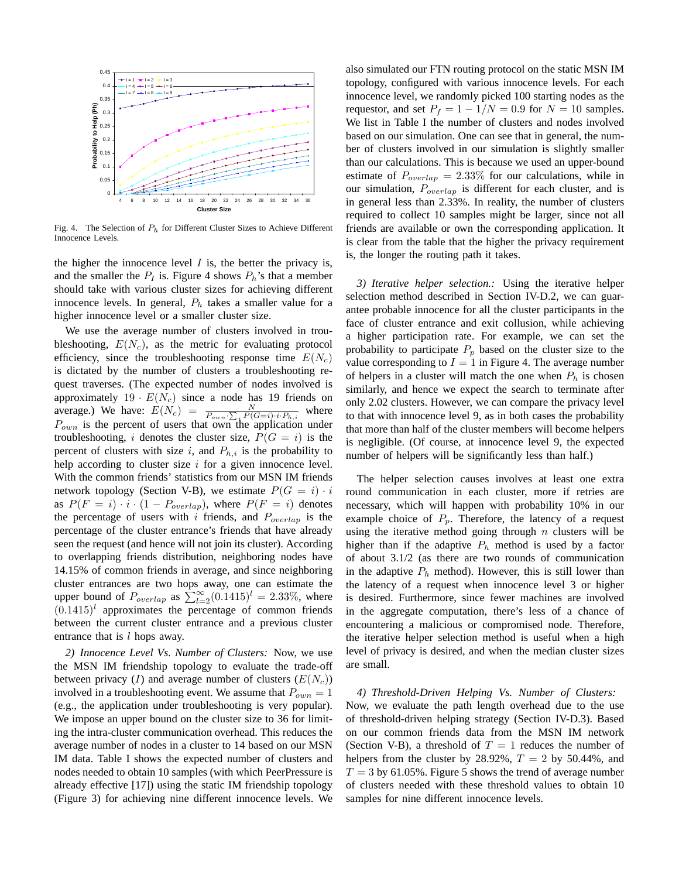

Fig. 4. The Selection of  $P_h$  for Different Cluster Sizes to Achieve Different Innocence Levels.

the higher the innocence level  $I$  is, the better the privacy is, and the smaller the  $P_I$  is. Figure 4 shows  $P_h$ 's that a member should take with various cluster sizes for achieving different innocence levels. In general,  $P_h$  takes a smaller value for a higher innocence level or a smaller cluster size.

We use the average number of clusters involved in troubleshooting,  $E(N_c)$ , as the metric for evaluating protocol efficiency, since the troubleshooting response time  $E(N_c)$ is dictated by the number of clusters a troubleshooting request traverses. (The expected number of nodes involved is approximately  $19 \cdot E(N_c)$  since a node has 19 friends on average.) We have:  $E(N_c) = \frac{N}{P_{own} \sum_i P(G=i) \cdot i \cdot P_{h,i}}$  where  $P_{own}$  is the percent of users that own the application under troubleshooting, i denotes the cluster size,  $P(G = i)$  is the percent of clusters with size i, and  $P_{h,i}$  is the probability to help according to cluster size  $i$  for a given innocence level. With the common friends' statistics from our MSN IM friends network topology (Section V-B), we estimate  $P(G = i) \cdot i$ as  $P(F = i) \cdot i \cdot (1 - P_{overlap})$ , where  $P(F = i)$  denotes the percentage of users with i friends, and  $P_{overlap}$  is the percentage of the cluster entrance's friends that have already seen the request (and hence will not join its cluster). According to overlapping friends distribution, neighboring nodes have 14.15% of common friends in average, and since neighboring cluster entrances are two hops away, one can estimate the cluster entrances are two hops away, one can estimate the upper bound of  $P_{overlap}$  as  $\sum_{l=2}^{\infty} (0.1415)^{l} = 2.33\%$ , where  $(0.1415)^{l}$  approximates the percentage of common friends between the current cluster entrance and a previous cluster entrance that is  $l$  hops away.

*2) Innocence Level Vs. Number of Clusters:* Now, we use the MSN IM friendship topology to evaluate the trade-off between privacy (I) and average number of clusters  $(E(N_c))$ involved in a troubleshooting event. We assume that  $P_{own} = 1$ (e.g., the application under troubleshooting is very popular). We impose an upper bound on the cluster size to 36 for limiting the intra-cluster communication overhead. This reduces the average number of nodes in a cluster to 14 based on our MSN IM data. Table I shows the expected number of clusters and nodes needed to obtain 10 samples (with which PeerPressure is already effective [17]) using the static IM friendship topology (Figure 3) for achieving nine different innocence levels. We also simulated our FTN routing protocol on the static MSN IM topology, configured with various innocence levels. For each innocence level, we randomly picked 100 starting nodes as the requestor, and set  $P_f = 1 - 1/N = 0.9$  for  $N = 10$  samples. We list in Table I the number of clusters and nodes involved based on our simulation. One can see that in general, the number of clusters involved in our simulation is slightly smaller than our calculations. This is because we used an upper-bound estimate of  $P_{overlap} = 2.33\%$  for our calculations, while in our simulation,  $P_{overlap}$  is different for each cluster, and is in general less than 2.33%. In reality, the number of clusters required to collect 10 samples might be larger, since not all friends are available or own the corresponding application. It is clear from the table that the higher the privacy requirement is, the longer the routing path it takes.

*3) Iterative helper selection.:* Using the iterative helper selection method described in Section IV-D.2, we can guarantee probable innocence for all the cluster participants in the face of cluster entrance and exit collusion, while achieving a higher participation rate. For example, we can set the probability to participate  $P_p$  based on the cluster size to the value corresponding to  $I = 1$  in Figure 4. The average number of helpers in a cluster will match the one when  $P_h$  is chosen similarly, and hence we expect the search to terminate after only 2.02 clusters. However, we can compare the privacy level to that with innocence level 9, as in both cases the probability that more than half of the cluster members will become helpers is negligible. (Of course, at innocence level 9, the expected number of helpers will be significantly less than half.)

The helper selection causes involves at least one extra round communication in each cluster, more if retries are necessary, which will happen with probability 10% in our example choice of  $P_p$ . Therefore, the latency of a request using the iterative method going through  $n$  clusters will be higher than if the adaptive  $P_h$  method is used by a factor of about 3.1/2 (as there are two rounds of communication in the adaptive  $P_h$  method). However, this is still lower than the latency of a request when innocence level 3 or higher is desired. Furthermore, since fewer machines are involved in the aggregate computation, there's less of a chance of encountering a malicious or compromised node. Therefore, the iterative helper selection method is useful when a high level of privacy is desired, and when the median cluster sizes are small.

*4) Threshold-Driven Helping Vs. Number of Clusters:* Now, we evaluate the path length overhead due to the use of threshold-driven helping strategy (Section IV-D.3). Based on our common friends data from the MSN IM network (Section V-B), a threshold of  $T = 1$  reduces the number of helpers from the cluster by 28.92%,  $T = 2$  by 50.44%, and  $T = 3$  by 61.05%. Figure 5 shows the trend of average number of clusters needed with these threshold values to obtain 10 samples for nine different innocence levels.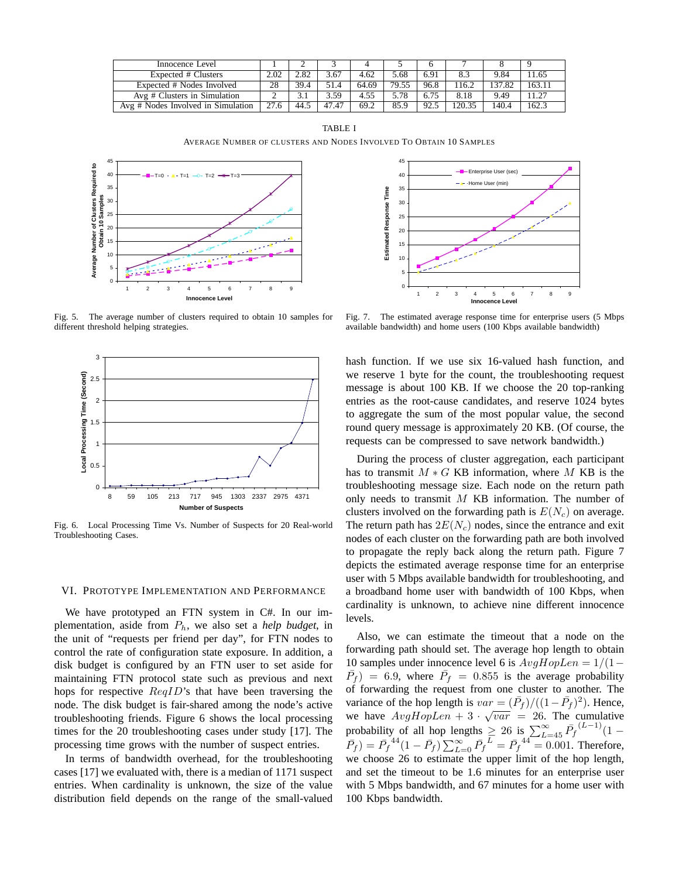| Innocence Level                    |      |      |       |       |       |      |       |        |        |
|------------------------------------|------|------|-------|-------|-------|------|-------|--------|--------|
| Expected # Clusters                | 2.02 | 2.82 | 3.67  | 4.62  | 5.68  | 6.91 |       | 9.84   | 11.65  |
| Expected # Nodes Involved          | 28   | 39.4 | 51.4  | 64.69 | 79.55 | 96.8 | 116.2 | 137.82 | 163.11 |
| Avg # Clusters in Simulation       |      |      | 3.59  | 4.55  | 5.78  | 6.75 | 8.18  | 9.49   | 11.27  |
| Avg # Nodes Involved in Simulation | 27.6 | 44.5 | 47.47 | 69.2  | 85.9  | 92.5 | 20.35 | 140.4  | 162.3  |

TABLE I AVERAGE NUMBER OF CLUSTERS AND NODES INVOLVED TO OBTAIN 10 SAMPLES



Fig. 5. The average number of clusters required to obtain 10 samples for different threshold helping strategies.



Fig. 6. Local Processing Time Vs. Number of Suspects for 20 Real-world Troubleshooting Cases.

## VI. PROTOTYPE IMPLEMENTATION AND PERFORMANCE

We have prototyped an FTN system in C#. In our implementation, aside from  $P_h$ , we also set a *help budget*, in the unit of "requests per friend per day", for FTN nodes to control the rate of configuration state exposure. In addition, a disk budget is configured by an FTN user to set aside for maintaining FTN protocol state such as previous and next hops for respective  $\text{Re}qID$ 's that have been traversing the node. The disk budget is fair-shared among the node's active troubleshooting friends. Figure 6 shows the local processing times for the 20 troubleshooting cases under study [17]. The processing time grows with the number of suspect entries.

In terms of bandwidth overhead, for the troubleshooting cases [17] we evaluated with, there is a median of 1171 suspect entries. When cardinality is unknown, the size of the value distribution field depends on the range of the small-valued



Fig. 7. The estimated average response time for enterprise users (5 Mbps available bandwidth) and home users (100 Kbps available bandwidth)

hash function. If we use six 16-valued hash function, and we reserve 1 byte for the count, the troubleshooting request message is about 100 KB. If we choose the 20 top-ranking entries as the root-cause candidates, and reserve 1024 bytes to aggregate the sum of the most popular value, the second round query message is approximately 20 KB. (Of course, the requests can be compressed to save network bandwidth.)

During the process of cluster aggregation, each participant has to transmit  $M * G$  KB information, where M KB is the troubleshooting message size. Each node on the return path only needs to transmit  $M$  KB information. The number of clusters involved on the forwarding path is  $E(N_c)$  on average. The return path has  $2E(N_c)$  nodes, since the entrance and exit nodes of each cluster on the forwarding path are both involved to propagate the reply back along the return path. Figure 7 depicts the estimated average response time for an enterprise user with 5 Mbps available bandwidth for troubleshooting, and a broadband home user with bandwidth of 100 Kbps, when cardinality is unknown, to achieve nine different innocence levels.

Also, we can estimate the timeout that a node on the forwarding path should set. The average hop length to obtain 10 samples under innocence level 6 is  $AvgHopLen = 1/(1 \overline{P}_f$ ) = 6.9, where  $\overline{P}_f$  = 0.855 is the average probability of forwarding the request from one cluster to another. The variance of the hop length is  $var = (\bar{P}_f)/((1-\bar{P}_f)^2)$ . Hence, we have  $AvgHopLen + 3 \cdot \sqrt{var} = 26$ . The cumulative probability of all hop lengths  $\geq 26$  is  $\sum_{L=45}^{\infty} \bar{P}_f^{(L-1)}(1 \overline{P}_f$ ) =  $\overline{P}_f^{44} (1 - \overline{P}_f) \sum_{L=0}^{\infty} \overline{P}_f^{2} = \overline{P}_f^{44} = 0.001$ . Therefore, we choose 26 to estimate the upper limit of the hop length, and set the timeout to be 1.6 minutes for an enterprise user with 5 Mbps bandwidth, and 67 minutes for a home user with 100 Kbps bandwidth.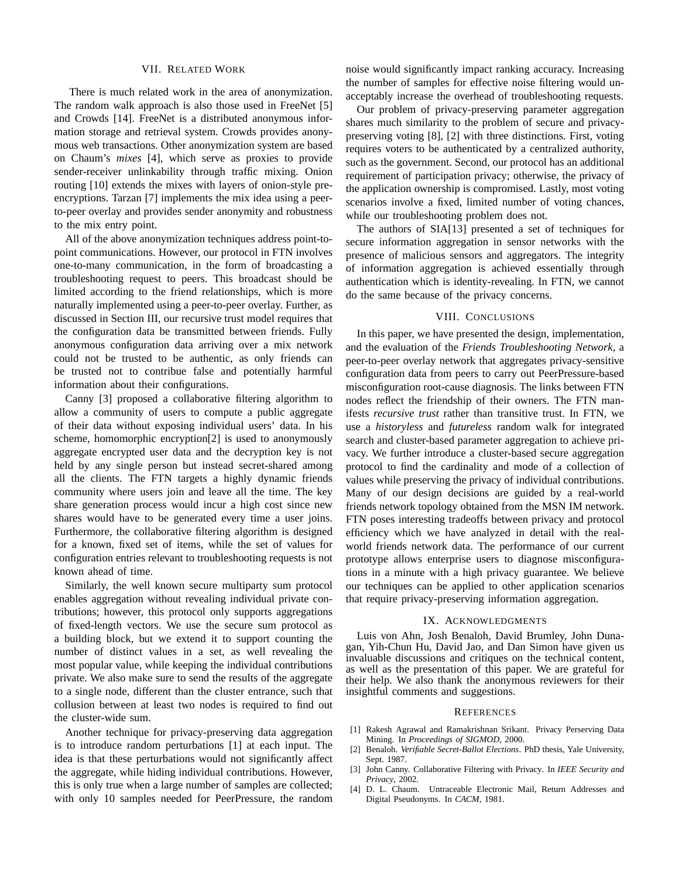#### VII. RELATED WORK

There is much related work in the area of anonymization. The random walk approach is also those used in FreeNet [5] and Crowds [14]. FreeNet is a distributed anonymous information storage and retrieval system. Crowds provides anonymous web transactions. Other anonymization system are based on Chaum's *mixes* [4], which serve as proxies to provide sender-receiver unlinkability through traffic mixing. Onion routing [10] extends the mixes with layers of onion-style preencryptions. Tarzan [7] implements the mix idea using a peerto-peer overlay and provides sender anonymity and robustness to the mix entry point.

All of the above anonymization techniques address point-topoint communications. However, our protocol in FTN involves one-to-many communication, in the form of broadcasting a troubleshooting request to peers. This broadcast should be limited according to the friend relationships, which is more naturally implemented using a peer-to-peer overlay. Further, as discussed in Section III, our recursive trust model requires that the configuration data be transmitted between friends. Fully anonymous configuration data arriving over a mix network could not be trusted to be authentic, as only friends can be trusted not to contribue false and potentially harmful information about their configurations.

Canny [3] proposed a collaborative filtering algorithm to allow a community of users to compute a public aggregate of their data without exposing individual users' data. In his scheme, homomorphic encryption[2] is used to anonymously aggregate encrypted user data and the decryption key is not held by any single person but instead secret-shared among all the clients. The FTN targets a highly dynamic friends community where users join and leave all the time. The key share generation process would incur a high cost since new shares would have to be generated every time a user joins. Furthermore, the collaborative filtering algorithm is designed for a known, fixed set of items, while the set of values for configuration entries relevant to troubleshooting requests is not known ahead of time.

Similarly, the well known secure multiparty sum protocol enables aggregation without revealing individual private contributions; however, this protocol only supports aggregations of fixed-length vectors. We use the secure sum protocol as a building block, but we extend it to support counting the number of distinct values in a set, as well revealing the most popular value, while keeping the individual contributions private. We also make sure to send the results of the aggregate to a single node, different than the cluster entrance, such that collusion between at least two nodes is required to find out the cluster-wide sum.

Another technique for privacy-preserving data aggregation is to introduce random perturbations [1] at each input. The idea is that these perturbations would not significantly affect the aggregate, while hiding individual contributions. However, this is only true when a large number of samples are collected; with only 10 samples needed for PeerPressure, the random

noise would significantly impact ranking accuracy. Increasing the number of samples for effective noise filtering would unacceptably increase the overhead of troubleshooting requests.

Our problem of privacy-preserving parameter aggregation shares much similarity to the problem of secure and privacypreserving voting [8], [2] with three distinctions. First, voting requires voters to be authenticated by a centralized authority, such as the government. Second, our protocol has an additional requirement of participation privacy; otherwise, the privacy of the application ownership is compromised. Lastly, most voting scenarios involve a fixed, limited number of voting chances, while our troubleshooting problem does not.

The authors of SIA[13] presented a set of techniques for secure information aggregation in sensor networks with the presence of malicious sensors and aggregators. The integrity of information aggregation is achieved essentially through authentication which is identity-revealing. In FTN, we cannot do the same because of the privacy concerns.

## VIII. CONCLUSIONS

In this paper, we have presented the design, implementation, and the evaluation of the *Friends Troubleshooting Network*, a peer-to-peer overlay network that aggregates privacy-sensitive configuration data from peers to carry out PeerPressure-based misconfiguration root-cause diagnosis. The links between FTN nodes reflect the friendship of their owners. The FTN manifests *recursive trust* rather than transitive trust. In FTN, we use a *historyless* and *futureless* random walk for integrated search and cluster-based parameter aggregation to achieve privacy. We further introduce a cluster-based secure aggregation protocol to find the cardinality and mode of a collection of values while preserving the privacy of individual contributions. Many of our design decisions are guided by a real-world friends network topology obtained from the MSN IM network. FTN poses interesting tradeoffs between privacy and protocol efficiency which we have analyzed in detail with the realworld friends network data. The performance of our current prototype allows enterprise users to diagnose misconfigurations in a minute with a high privacy guarantee. We believe our techniques can be applied to other application scenarios that require privacy-preserving information aggregation.

#### IX. ACKNOWLEDGMENTS

Luis von Ahn, Josh Benaloh, David Brumley, John Dunagan, Yih-Chun Hu, David Jao, and Dan Simon have given us invaluable discussions and critiques on the technical content, as well as the presentation of this paper. We are grateful for their help. We also thank the anonymous reviewers for their insightful comments and suggestions.

#### **REFERENCES**

- [1] Rakesh Agrawal and Ramakrishnan Srikant. Privacy Perserving Data Mining. In *Proceedings of SIGMOD*, 2000.
- [2] Benaloh. *Verifiable Secret-Ballot Elections*. PhD thesis, Yale University, Sept. 1987.
- [3] John Canny. Collaborative Filtering with Privacy. In *IEEE Security and Privacy*, 2002.
- [4] D. L. Chaum. Untraceable Electronic Mail, Return Addresses and Digital Pseudonyms. In *CACM*, 1981.